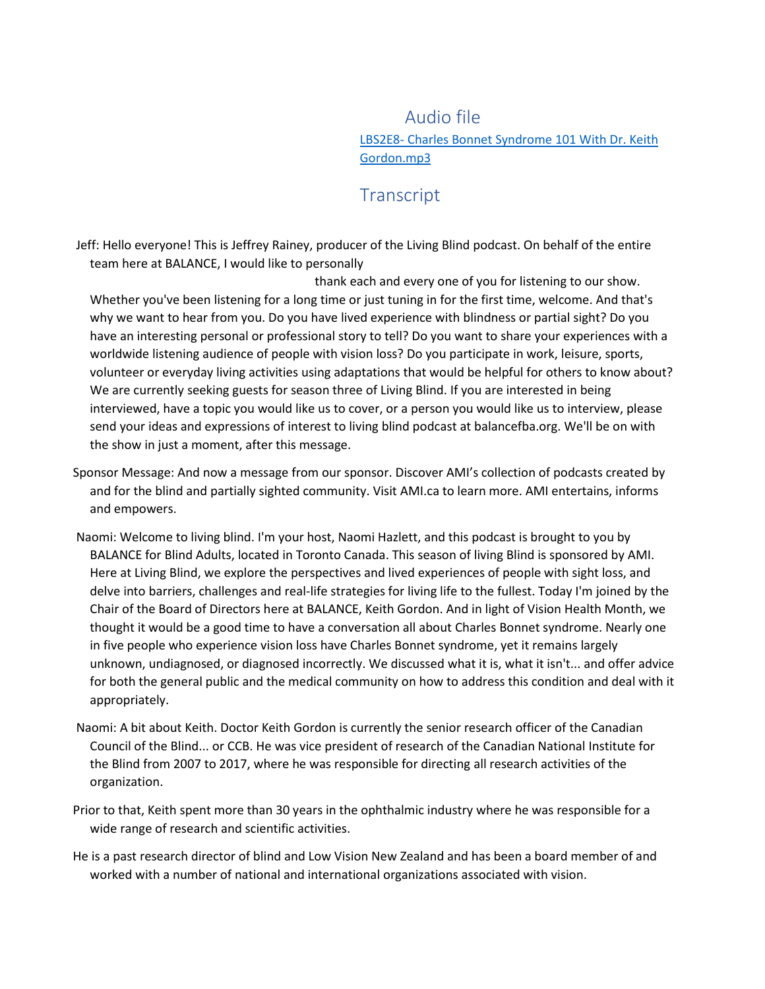Audio file LBS2E8- [Charles Bonnet Syndrome 101 With Dr. Keith](https://balancefba-my.sharepoint.com/personal/livingblindpodcast_balancefba_org/Documents/Transcribed%20Files/LBS2E8-%20Charles%20Bonnet%20Syndrome%20101%20With%20Dr.%20Keith%20Gordon.mp3)  [Gordon.mp3](https://balancefba-my.sharepoint.com/personal/livingblindpodcast_balancefba_org/Documents/Transcribed%20Files/LBS2E8-%20Charles%20Bonnet%20Syndrome%20101%20With%20Dr.%20Keith%20Gordon.mp3)

## **Transcript**

Jeff: Hello everyone! This is Jeffrey Rainey, producer of the Living Blind podcast. On behalf of the entire team here at BALANCE, I would like to personally

thank each and every one of you for listening to our show. Whether you've been listening for a long time or just tuning in for the first time, welcome. And that's why we want to hear from you. Do you have lived experience with blindness or partial sight? Do you have an interesting personal or professional story to tell? Do you want to share your experiences with a worldwide listening audience of people with vision loss? Do you participate in work, leisure, sports, volunteer or everyday living activities using adaptations that would be helpful for others to know about? We are currently seeking guests for season three of Living Blind. If you are interested in being interviewed, have a topic you would like us to cover, or a person you would like us to interview, please send your ideas and expressions of interest to living blind podcast at balancefba.org. We'll be on with the show in just a moment, after this message.

- Sponsor Message: And now a message from our sponsor. Discover AMI's collection of podcasts created by and for the blind and partially sighted community. Visit AMI.ca to learn more. AMI entertains, informs and empowers.
- Naomi: Welcome to living blind. I'm your host, Naomi Hazlett, and this podcast is brought to you by BALANCE for Blind Adults, located in Toronto Canada. This season of living Blind is sponsored by AMI. Here at Living Blind, we explore the perspectives and lived experiences of people with sight loss, and delve into barriers, challenges and real-life strategies for living life to the fullest. Today I'm joined by the Chair of the Board of Directors here at BALANCE, Keith Gordon. And in light of Vision Health Month, we thought it would be a good time to have a conversation all about Charles Bonnet syndrome. Nearly one in five people who experience vision loss have Charles Bonnet syndrome, yet it remains largely unknown, undiagnosed, or diagnosed incorrectly. We discussed what it is, what it isn't... and offer advice for both the general public and the medical community on how to address this condition and deal with it appropriately.
- Naomi: A bit about Keith. Doctor Keith Gordon is currently the senior research officer of the Canadian Council of the Blind... or CCB. He was vice president of research of the Canadian National Institute for the Blind from 2007 to 2017, where he was responsible for directing all research activities of the organization.
- Prior to that, Keith spent more than 30 years in the ophthalmic industry where he was responsible for a wide range of research and scientific activities.
- He is a past research director of blind and Low Vision New Zealand and has been a board member of and worked with a number of national and international organizations associated with vision.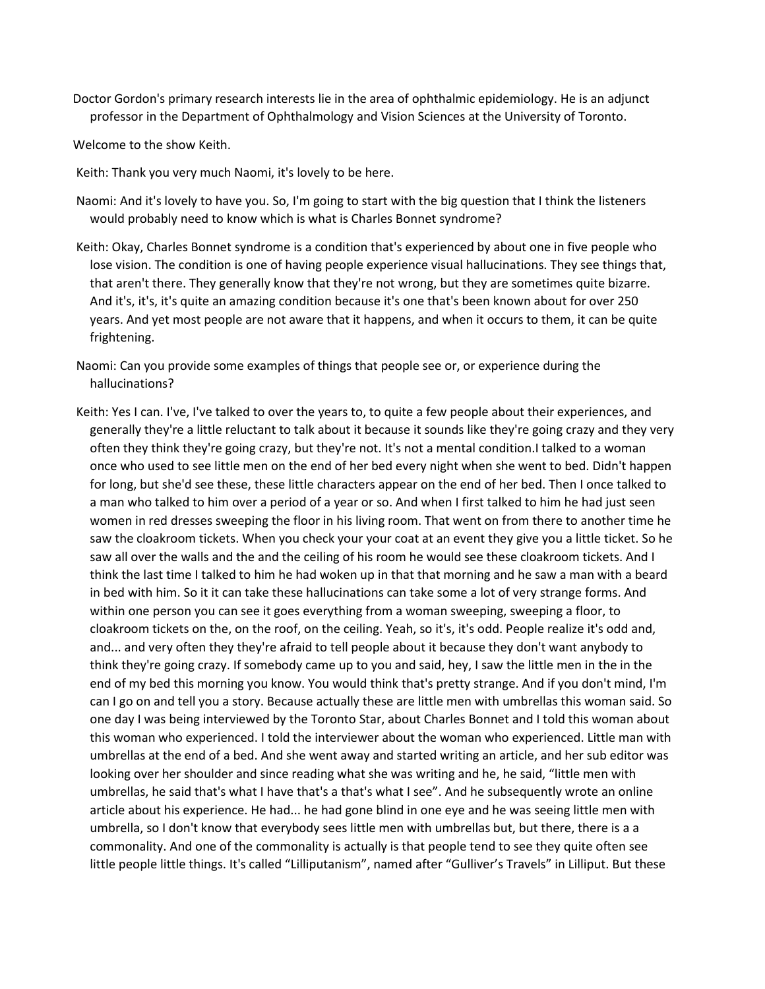Doctor Gordon's primary research interests lie in the area of ophthalmic epidemiology. He is an adjunct professor in the Department of Ophthalmology and Vision Sciences at the University of Toronto.

Welcome to the show Keith.

- Keith: Thank you very much Naomi, it's lovely to be here.
- Naomi: And it's lovely to have you. So, I'm going to start with the big question that I think the listeners would probably need to know which is what is Charles Bonnet syndrome?
- Keith: Okay, Charles Bonnet syndrome is a condition that's experienced by about one in five people who lose vision. The condition is one of having people experience visual hallucinations. They see things that, that aren't there. They generally know that they're not wrong, but they are sometimes quite bizarre. And it's, it's, it's quite an amazing condition because it's one that's been known about for over 250 years. And yet most people are not aware that it happens, and when it occurs to them, it can be quite frightening.
- Naomi: Can you provide some examples of things that people see or, or experience during the hallucinations?
- Keith: Yes I can. I've, I've talked to over the years to, to quite a few people about their experiences, and generally they're a little reluctant to talk about it because it sounds like they're going crazy and they very often they think they're going crazy, but they're not. It's not a mental condition.I talked to a woman once who used to see little men on the end of her bed every night when she went to bed. Didn't happen for long, but she'd see these, these little characters appear on the end of her bed. Then I once talked to a man who talked to him over a period of a year or so. And when I first talked to him he had just seen women in red dresses sweeping the floor in his living room. That went on from there to another time he saw the cloakroom tickets. When you check your your coat at an event they give you a little ticket. So he saw all over the walls and the and the ceiling of his room he would see these cloakroom tickets. And I think the last time I talked to him he had woken up in that that morning and he saw a man with a beard in bed with him. So it it can take these hallucinations can take some a lot of very strange forms. And within one person you can see it goes everything from a woman sweeping, sweeping a floor, to cloakroom tickets on the, on the roof, on the ceiling. Yeah, so it's, it's odd. People realize it's odd and, and... and very often they they're afraid to tell people about it because they don't want anybody to think they're going crazy. If somebody came up to you and said, hey, I saw the little men in the in the end of my bed this morning you know. You would think that's pretty strange. And if you don't mind, I'm can I go on and tell you a story. Because actually these are little men with umbrellas this woman said. So one day I was being interviewed by the Toronto Star, about Charles Bonnet and I told this woman about this woman who experienced. I told the interviewer about the woman who experienced. Little man with umbrellas at the end of a bed. And she went away and started writing an article, and her sub editor was looking over her shoulder and since reading what she was writing and he, he said, "little men with umbrellas, he said that's what I have that's a that's what I see". And he subsequently wrote an online article about his experience. He had... he had gone blind in one eye and he was seeing little men with umbrella, so I don't know that everybody sees little men with umbrellas but, but there, there is a a commonality. And one of the commonality is actually is that people tend to see they quite often see little people little things. It's called "Lilliputanism", named after "Gulliver's Travels" in Lilliput. But these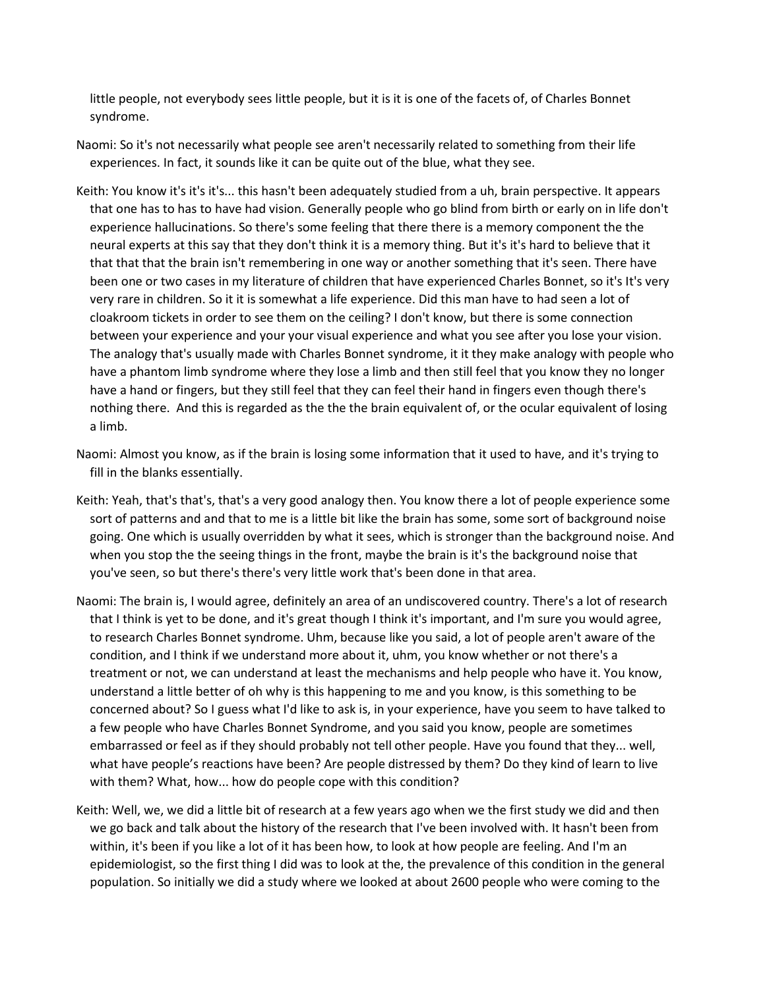little people, not everybody sees little people, but it is it is one of the facets of, of Charles Bonnet syndrome.

- Naomi: So it's not necessarily what people see aren't necessarily related to something from their life experiences. In fact, it sounds like it can be quite out of the blue, what they see.
- Keith: You know it's it's it's... this hasn't been adequately studied from a uh, brain perspective. It appears that one has to has to have had vision. Generally people who go blind from birth or early on in life don't experience hallucinations. So there's some feeling that there there is a memory component the the neural experts at this say that they don't think it is a memory thing. But it's it's hard to believe that it that that that the brain isn't remembering in one way or another something that it's seen. There have been one or two cases in my literature of children that have experienced Charles Bonnet, so it's It's very very rare in children. So it it is somewhat a life experience. Did this man have to had seen a lot of cloakroom tickets in order to see them on the ceiling? I don't know, but there is some connection between your experience and your your visual experience and what you see after you lose your vision. The analogy that's usually made with Charles Bonnet syndrome, it it they make analogy with people who have a phantom limb syndrome where they lose a limb and then still feel that you know they no longer have a hand or fingers, but they still feel that they can feel their hand in fingers even though there's nothing there. And this is regarded as the the the brain equivalent of, or the ocular equivalent of losing a limb.
- Naomi: Almost you know, as if the brain is losing some information that it used to have, and it's trying to fill in the blanks essentially.
- Keith: Yeah, that's that's, that's a very good analogy then. You know there a lot of people experience some sort of patterns and and that to me is a little bit like the brain has some, some sort of background noise going. One which is usually overridden by what it sees, which is stronger than the background noise. And when you stop the the seeing things in the front, maybe the brain is it's the background noise that you've seen, so but there's there's very little work that's been done in that area.
- Naomi: The brain is, I would agree, definitely an area of an undiscovered country. There's a lot of research that I think is yet to be done, and it's great though I think it's important, and I'm sure you would agree, to research Charles Bonnet syndrome. Uhm, because like you said, a lot of people aren't aware of the condition, and I think if we understand more about it, uhm, you know whether or not there's a treatment or not, we can understand at least the mechanisms and help people who have it. You know, understand a little better of oh why is this happening to me and you know, is this something to be concerned about? So I guess what I'd like to ask is, in your experience, have you seem to have talked to a few people who have Charles Bonnet Syndrome, and you said you know, people are sometimes embarrassed or feel as if they should probably not tell other people. Have you found that they... well, what have people's reactions have been? Are people distressed by them? Do they kind of learn to live with them? What, how... how do people cope with this condition?
- Keith: Well, we, we did a little bit of research at a few years ago when we the first study we did and then we go back and talk about the history of the research that I've been involved with. It hasn't been from within, it's been if you like a lot of it has been how, to look at how people are feeling. And I'm an epidemiologist, so the first thing I did was to look at the, the prevalence of this condition in the general population. So initially we did a study where we looked at about 2600 people who were coming to the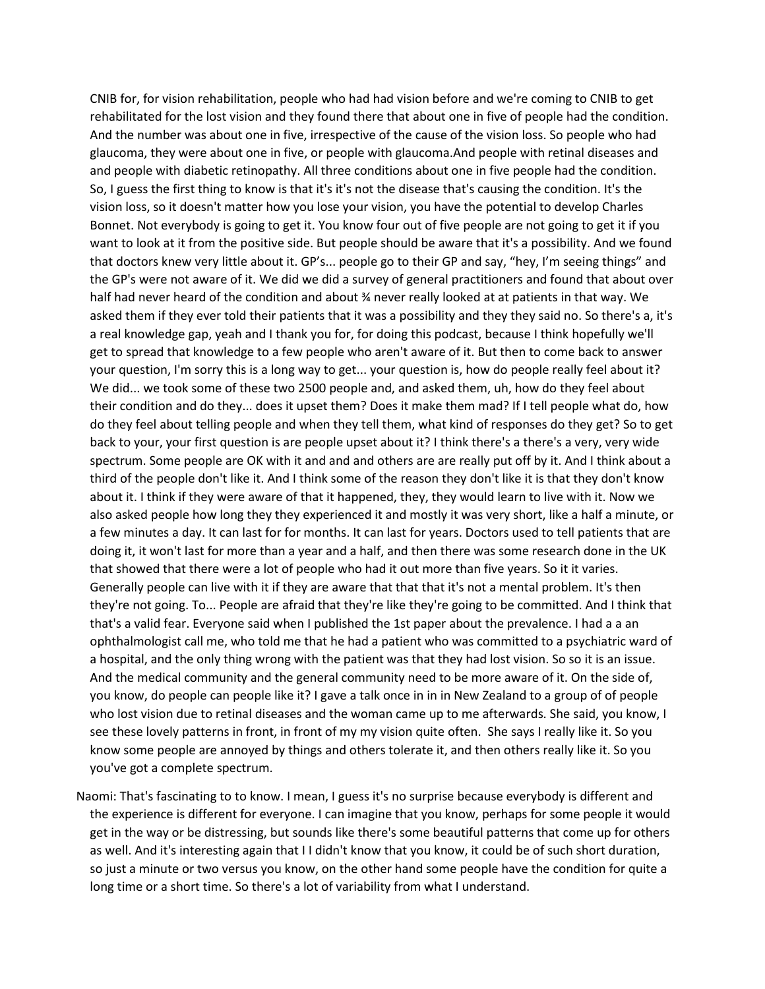CNIB for, for vision rehabilitation, people who had had vision before and we're coming to CNIB to get rehabilitated for the lost vision and they found there that about one in five of people had the condition. And the number was about one in five, irrespective of the cause of the vision loss. So people who had glaucoma, they were about one in five, or people with glaucoma.And people with retinal diseases and and people with diabetic retinopathy. All three conditions about one in five people had the condition. So, I guess the first thing to know is that it's it's not the disease that's causing the condition. It's the vision loss, so it doesn't matter how you lose your vision, you have the potential to develop Charles Bonnet. Not everybody is going to get it. You know four out of five people are not going to get it if you want to look at it from the positive side. But people should be aware that it's a possibility. And we found that doctors knew very little about it. GP's... people go to their GP and say, "hey, I'm seeing things" and the GP's were not aware of it. We did we did a survey of general practitioners and found that about over half had never heard of the condition and about % never really looked at at patients in that way. We asked them if they ever told their patients that it was a possibility and they they said no. So there's a, it's a real knowledge gap, yeah and I thank you for, for doing this podcast, because I think hopefully we'll get to spread that knowledge to a few people who aren't aware of it. But then to come back to answer your question, I'm sorry this is a long way to get... your question is, how do people really feel about it? We did... we took some of these two 2500 people and, and asked them, uh, how do they feel about their condition and do they... does it upset them? Does it make them mad? If I tell people what do, how do they feel about telling people and when they tell them, what kind of responses do they get? So to get back to your, your first question is are people upset about it? I think there's a there's a very, very wide spectrum. Some people are OK with it and and and others are are really put off by it. And I think about a third of the people don't like it. And I think some of the reason they don't like it is that they don't know about it. I think if they were aware of that it happened, they, they would learn to live with it. Now we also asked people how long they they experienced it and mostly it was very short, like a half a minute, or a few minutes a day. It can last for for months. It can last for years. Doctors used to tell patients that are doing it, it won't last for more than a year and a half, and then there was some research done in the UK that showed that there were a lot of people who had it out more than five years. So it it varies. Generally people can live with it if they are aware that that that it's not a mental problem. It's then they're not going. To... People are afraid that they're like they're going to be committed. And I think that that's a valid fear. Everyone said when I published the 1st paper about the prevalence. I had a a an ophthalmologist call me, who told me that he had a patient who was committed to a psychiatric ward of a hospital, and the only thing wrong with the patient was that they had lost vision. So so it is an issue. And the medical community and the general community need to be more aware of it. On the side of, you know, do people can people like it? I gave a talk once in in in New Zealand to a group of of people who lost vision due to retinal diseases and the woman came up to me afterwards. She said, you know, I see these lovely patterns in front, in front of my my vision quite often. She says I really like it. So you know some people are annoyed by things and others tolerate it, and then others really like it. So you you've got a complete spectrum.

Naomi: That's fascinating to to know. I mean, I guess it's no surprise because everybody is different and the experience is different for everyone. I can imagine that you know, perhaps for some people it would get in the way or be distressing, but sounds like there's some beautiful patterns that come up for others as well. And it's interesting again that I I didn't know that you know, it could be of such short duration, so just a minute or two versus you know, on the other hand some people have the condition for quite a long time or a short time. So there's a lot of variability from what I understand.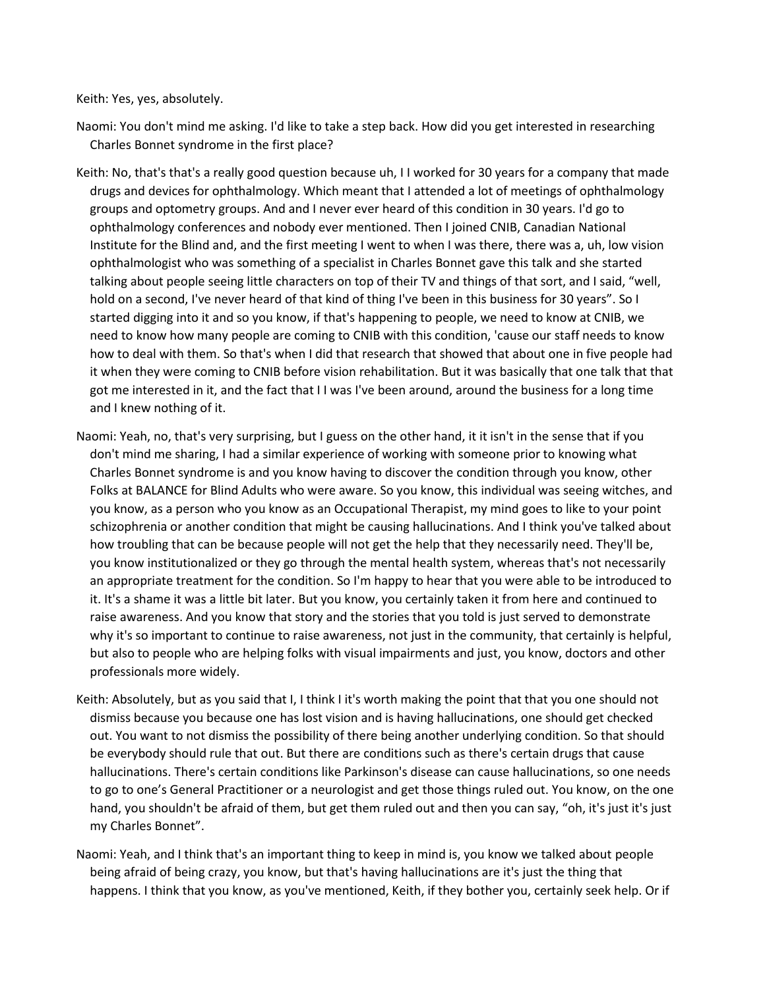Keith: Yes, yes, absolutely.

Naomi: You don't mind me asking. I'd like to take a step back. How did you get interested in researching Charles Bonnet syndrome in the first place?

- Keith: No, that's that's a really good question because uh, I I worked for 30 years for a company that made drugs and devices for ophthalmology. Which meant that I attended a lot of meetings of ophthalmology groups and optometry groups. And and I never ever heard of this condition in 30 years. I'd go to ophthalmology conferences and nobody ever mentioned. Then I joined CNIB, Canadian National Institute for the Blind and, and the first meeting I went to when I was there, there was a, uh, low vision ophthalmologist who was something of a specialist in Charles Bonnet gave this talk and she started talking about people seeing little characters on top of their TV and things of that sort, and I said, "well, hold on a second, I've never heard of that kind of thing I've been in this business for 30 years". So I started digging into it and so you know, if that's happening to people, we need to know at CNIB, we need to know how many people are coming to CNIB with this condition, 'cause our staff needs to know how to deal with them. So that's when I did that research that showed that about one in five people had it when they were coming to CNIB before vision rehabilitation. But it was basically that one talk that that got me interested in it, and the fact that I I was I've been around, around the business for a long time and I knew nothing of it.
- Naomi: Yeah, no, that's very surprising, but I guess on the other hand, it it isn't in the sense that if you don't mind me sharing, I had a similar experience of working with someone prior to knowing what Charles Bonnet syndrome is and you know having to discover the condition through you know, other Folks at BALANCE for Blind Adults who were aware. So you know, this individual was seeing witches, and you know, as a person who you know as an Occupational Therapist, my mind goes to like to your point schizophrenia or another condition that might be causing hallucinations. And I think you've talked about how troubling that can be because people will not get the help that they necessarily need. They'll be, you know institutionalized or they go through the mental health system, whereas that's not necessarily an appropriate treatment for the condition. So I'm happy to hear that you were able to be introduced to it. It's a shame it was a little bit later. But you know, you certainly taken it from here and continued to raise awareness. And you know that story and the stories that you told is just served to demonstrate why it's so important to continue to raise awareness, not just in the community, that certainly is helpful, but also to people who are helping folks with visual impairments and just, you know, doctors and other professionals more widely.
- Keith: Absolutely, but as you said that I, I think I it's worth making the point that that you one should not dismiss because you because one has lost vision and is having hallucinations, one should get checked out. You want to not dismiss the possibility of there being another underlying condition. So that should be everybody should rule that out. But there are conditions such as there's certain drugs that cause hallucinations. There's certain conditions like Parkinson's disease can cause hallucinations, so one needs to go to one's General Practitioner or a neurologist and get those things ruled out. You know, on the one hand, you shouldn't be afraid of them, but get them ruled out and then you can say, "oh, it's just it's just my Charles Bonnet".
- Naomi: Yeah, and I think that's an important thing to keep in mind is, you know we talked about people being afraid of being crazy, you know, but that's having hallucinations are it's just the thing that happens. I think that you know, as you've mentioned, Keith, if they bother you, certainly seek help. Or if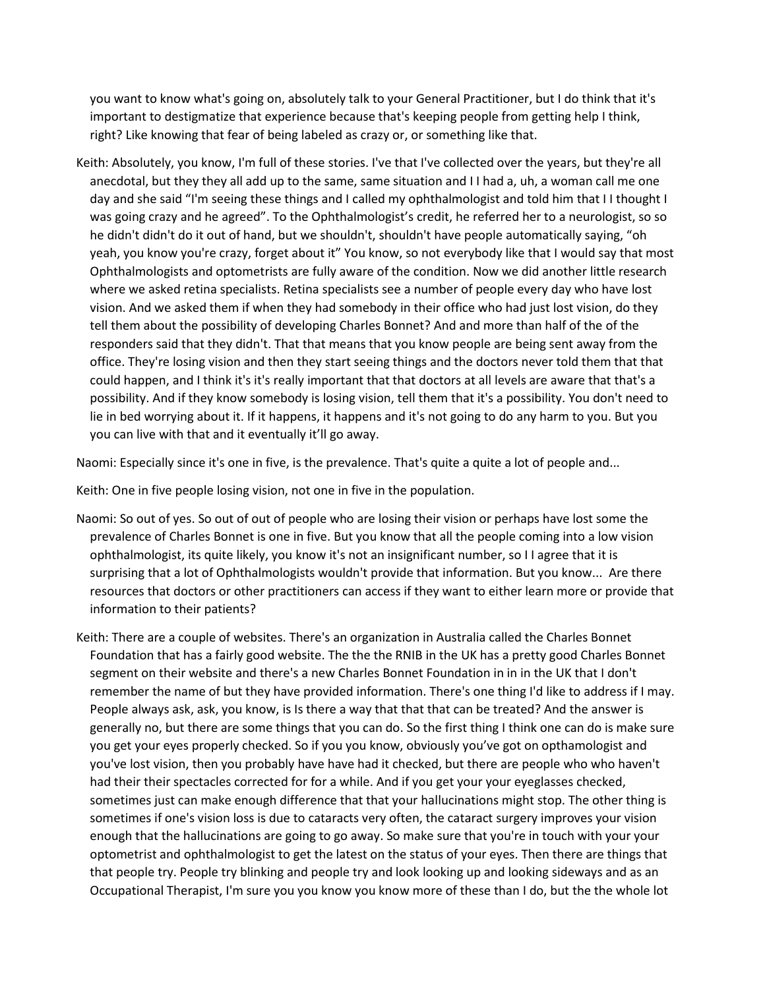you want to know what's going on, absolutely talk to your General Practitioner, but I do think that it's important to destigmatize that experience because that's keeping people from getting help I think, right? Like knowing that fear of being labeled as crazy or, or something like that.

Keith: Absolutely, you know, I'm full of these stories. I've that I've collected over the years, but they're all anecdotal, but they they all add up to the same, same situation and I I had a, uh, a woman call me one day and she said "I'm seeing these things and I called my ophthalmologist and told him that I I thought I was going crazy and he agreed". To the Ophthalmologist's credit, he referred her to a neurologist, so so he didn't didn't do it out of hand, but we shouldn't, shouldn't have people automatically saying, "oh yeah, you know you're crazy, forget about it" You know, so not everybody like that I would say that most Ophthalmologists and optometrists are fully aware of the condition. Now we did another little research where we asked retina specialists. Retina specialists see a number of people every day who have lost vision. And we asked them if when they had somebody in their office who had just lost vision, do they tell them about the possibility of developing Charles Bonnet? And and more than half of the of the responders said that they didn't. That that means that you know people are being sent away from the office. They're losing vision and then they start seeing things and the doctors never told them that that could happen, and I think it's it's really important that that doctors at all levels are aware that that's a possibility. And if they know somebody is losing vision, tell them that it's a possibility. You don't need to lie in bed worrying about it. If it happens, it happens and it's not going to do any harm to you. But you you can live with that and it eventually it'll go away.

Naomi: Especially since it's one in five, is the prevalence. That's quite a quite a lot of people and...

Keith: One in five people losing vision, not one in five in the population.

- Naomi: So out of yes. So out of out of people who are losing their vision or perhaps have lost some the prevalence of Charles Bonnet is one in five. But you know that all the people coming into a low vision ophthalmologist, its quite likely, you know it's not an insignificant number, so I I agree that it is surprising that a lot of Ophthalmologists wouldn't provide that information. But you know... Are there resources that doctors or other practitioners can access if they want to either learn more or provide that information to their patients?
- Keith: There are a couple of websites. There's an organization in Australia called the Charles Bonnet Foundation that has a fairly good website. The the the RNIB in the UK has a pretty good Charles Bonnet segment on their website and there's a new Charles Bonnet Foundation in in in the UK that I don't remember the name of but they have provided information. There's one thing I'd like to address if I may. People always ask, ask, you know, is Is there a way that that that can be treated? And the answer is generally no, but there are some things that you can do. So the first thing I think one can do is make sure you get your eyes properly checked. So if you you know, obviously you've got on opthamologist and you've lost vision, then you probably have have had it checked, but there are people who who haven't had their their spectacles corrected for for a while. And if you get your your eyeglasses checked, sometimes just can make enough difference that that your hallucinations might stop. The other thing is sometimes if one's vision loss is due to cataracts very often, the cataract surgery improves your vision enough that the hallucinations are going to go away. So make sure that you're in touch with your your optometrist and ophthalmologist to get the latest on the status of your eyes. Then there are things that that people try. People try blinking and people try and look looking up and looking sideways and as an Occupational Therapist, I'm sure you you know you know more of these than I do, but the the whole lot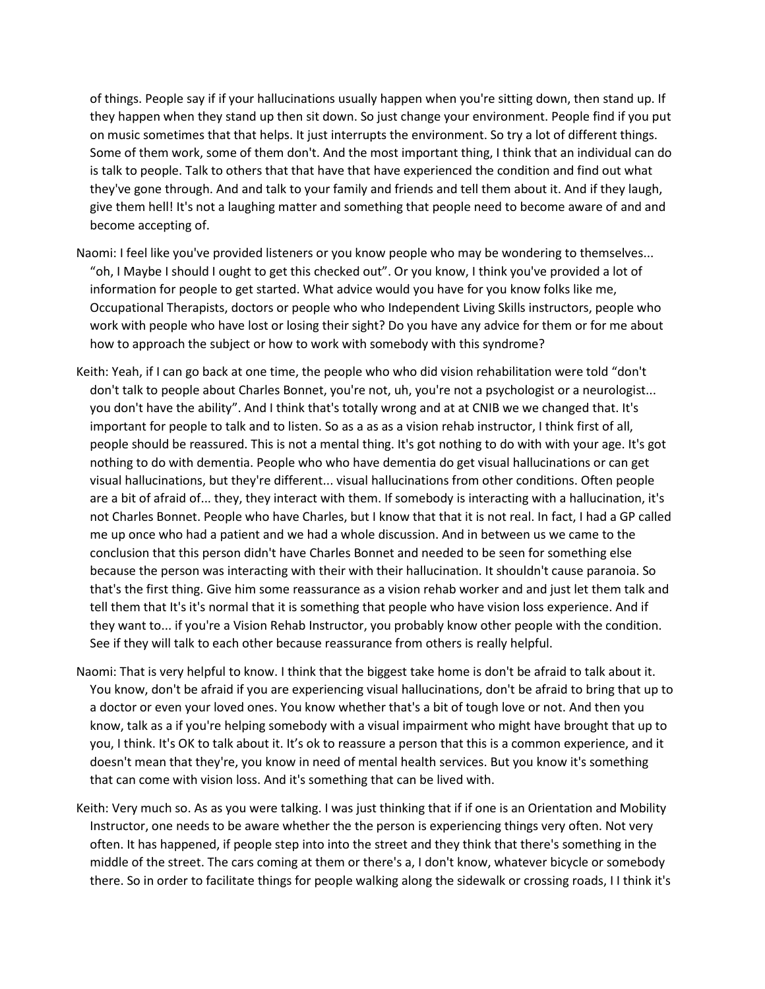of things. People say if if your hallucinations usually happen when you're sitting down, then stand up. If they happen when they stand up then sit down. So just change your environment. People find if you put on music sometimes that that helps. It just interrupts the environment. So try a lot of different things. Some of them work, some of them don't. And the most important thing, I think that an individual can do is talk to people. Talk to others that that have that have experienced the condition and find out what they've gone through. And and talk to your family and friends and tell them about it. And if they laugh, give them hell! It's not a laughing matter and something that people need to become aware of and and become accepting of.

- Naomi: I feel like you've provided listeners or you know people who may be wondering to themselves... "oh, I Maybe I should I ought to get this checked out". Or you know, I think you've provided a lot of information for people to get started. What advice would you have for you know folks like me, Occupational Therapists, doctors or people who who Independent Living Skills instructors, people who work with people who have lost or losing their sight? Do you have any advice for them or for me about how to approach the subject or how to work with somebody with this syndrome?
- Keith: Yeah, if I can go back at one time, the people who who did vision rehabilitation were told "don't don't talk to people about Charles Bonnet, you're not, uh, you're not a psychologist or a neurologist... you don't have the ability". And I think that's totally wrong and at at CNIB we we changed that. It's important for people to talk and to listen. So as a as as a vision rehab instructor, I think first of all, people should be reassured. This is not a mental thing. It's got nothing to do with with your age. It's got nothing to do with dementia. People who who have dementia do get visual hallucinations or can get visual hallucinations, but they're different... visual hallucinations from other conditions. Often people are a bit of afraid of... they, they interact with them. If somebody is interacting with a hallucination, it's not Charles Bonnet. People who have Charles, but I know that that it is not real. In fact, I had a GP called me up once who had a patient and we had a whole discussion. And in between us we came to the conclusion that this person didn't have Charles Bonnet and needed to be seen for something else because the person was interacting with their with their hallucination. It shouldn't cause paranoia. So that's the first thing. Give him some reassurance as a vision rehab worker and and just let them talk and tell them that It's it's normal that it is something that people who have vision loss experience. And if they want to... if you're a Vision Rehab Instructor, you probably know other people with the condition. See if they will talk to each other because reassurance from others is really helpful.
- Naomi: That is very helpful to know. I think that the biggest take home is don't be afraid to talk about it. You know, don't be afraid if you are experiencing visual hallucinations, don't be afraid to bring that up to a doctor or even your loved ones. You know whether that's a bit of tough love or not. And then you know, talk as a if you're helping somebody with a visual impairment who might have brought that up to you, I think. It's OK to talk about it. It's ok to reassure a person that this is a common experience, and it doesn't mean that they're, you know in need of mental health services. But you know it's something that can come with vision loss. And it's something that can be lived with.
- Keith: Very much so. As as you were talking. I was just thinking that if if one is an Orientation and Mobility Instructor, one needs to be aware whether the the person is experiencing things very often. Not very often. It has happened, if people step into into the street and they think that there's something in the middle of the street. The cars coming at them or there's a, I don't know, whatever bicycle or somebody there. So in order to facilitate things for people walking along the sidewalk or crossing roads, I I think it's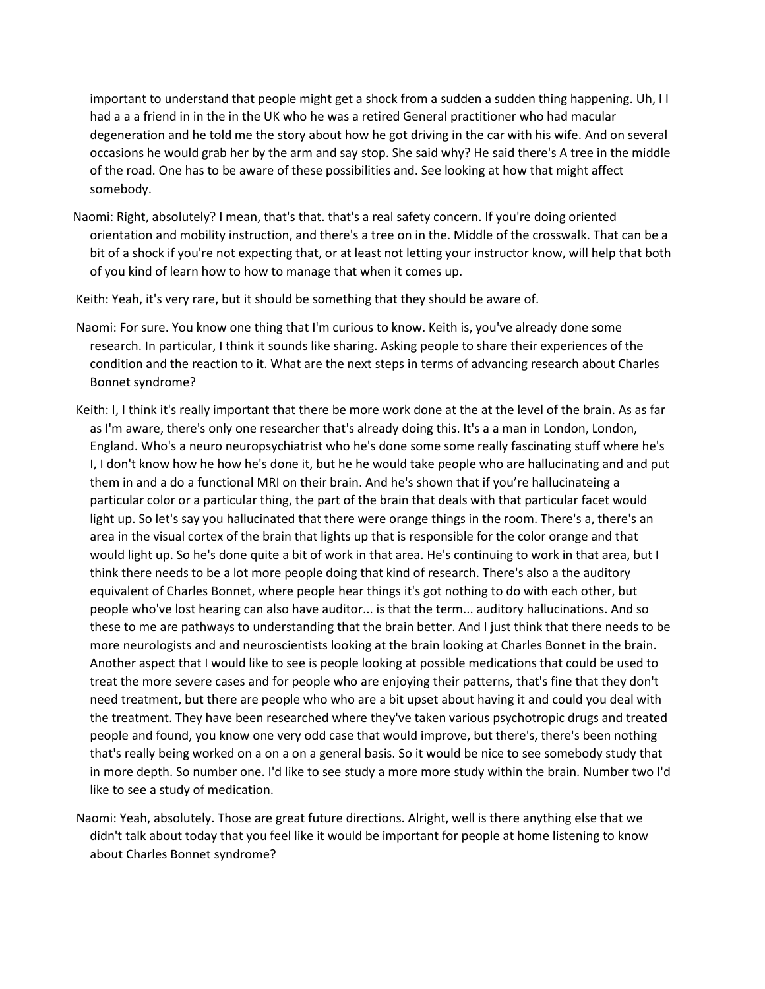important to understand that people might get a shock from a sudden a sudden thing happening. Uh, I I had a a a friend in in the in the UK who he was a retired General practitioner who had macular degeneration and he told me the story about how he got driving in the car with his wife. And on several occasions he would grab her by the arm and say stop. She said why? He said there's A tree in the middle of the road. One has to be aware of these possibilities and. See looking at how that might affect somebody.

Naomi: Right, absolutely? I mean, that's that. that's a real safety concern. If you're doing oriented orientation and mobility instruction, and there's a tree on in the. Middle of the crosswalk. That can be a bit of a shock if you're not expecting that, or at least not letting your instructor know, will help that both of you kind of learn how to how to manage that when it comes up.

Keith: Yeah, it's very rare, but it should be something that they should be aware of.

- Naomi: For sure. You know one thing that I'm curious to know. Keith is, you've already done some research. In particular, I think it sounds like sharing. Asking people to share their experiences of the condition and the reaction to it. What are the next steps in terms of advancing research about Charles Bonnet syndrome?
- Keith: I, I think it's really important that there be more work done at the at the level of the brain. As as far as I'm aware, there's only one researcher that's already doing this. It's a a man in London, London, England. Who's a neuro neuropsychiatrist who he's done some some really fascinating stuff where he's I, I don't know how he how he's done it, but he he would take people who are hallucinating and and put them in and a do a functional MRI on their brain. And he's shown that if you're hallucinateing a particular color or a particular thing, the part of the brain that deals with that particular facet would light up. So let's say you hallucinated that there were orange things in the room. There's a, there's an area in the visual cortex of the brain that lights up that is responsible for the color orange and that would light up. So he's done quite a bit of work in that area. He's continuing to work in that area, but I think there needs to be a lot more people doing that kind of research. There's also a the auditory equivalent of Charles Bonnet, where people hear things it's got nothing to do with each other, but people who've lost hearing can also have auditor... is that the term... auditory hallucinations. And so these to me are pathways to understanding that the brain better. And I just think that there needs to be more neurologists and and neuroscientists looking at the brain looking at Charles Bonnet in the brain. Another aspect that I would like to see is people looking at possible medications that could be used to treat the more severe cases and for people who are enjoying their patterns, that's fine that they don't need treatment, but there are people who who are a bit upset about having it and could you deal with the treatment. They have been researched where they've taken various psychotropic drugs and treated people and found, you know one very odd case that would improve, but there's, there's been nothing that's really being worked on a on a on a general basis. So it would be nice to see somebody study that in more depth. So number one. I'd like to see study a more more study within the brain. Number two I'd like to see a study of medication.
- Naomi: Yeah, absolutely. Those are great future directions. Alright, well is there anything else that we didn't talk about today that you feel like it would be important for people at home listening to know about Charles Bonnet syndrome?